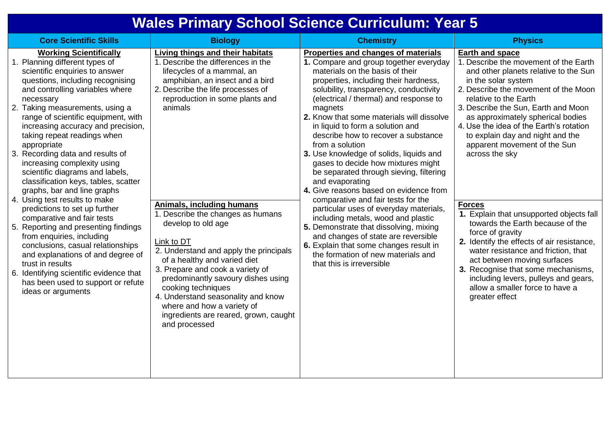## **Wales Primary School Science Curriculum: Year 5**

| <b>Core Scientific Skills</b>                                                                                                                                                                                                                                                                                                                                                                                                                                                                                                                                                                                                                                                                                                                                                                                                                                                                           | <b>Biology</b>                                                                                                                                                                                                                                                                                                                                                                                                                                                                                                                                                                                                                                  | <b>Chemistry</b>                                                                                                                                                                                                                                                                                                                                                                                                                                                                                                                                                                                                                                                                                                                                                                                                                                                                                                 | <b>Physics</b>                                                                                                                                                                                                                                                                                                                                                                                                                                                                                                                                                                                                                                                                                                                                                                            |
|---------------------------------------------------------------------------------------------------------------------------------------------------------------------------------------------------------------------------------------------------------------------------------------------------------------------------------------------------------------------------------------------------------------------------------------------------------------------------------------------------------------------------------------------------------------------------------------------------------------------------------------------------------------------------------------------------------------------------------------------------------------------------------------------------------------------------------------------------------------------------------------------------------|-------------------------------------------------------------------------------------------------------------------------------------------------------------------------------------------------------------------------------------------------------------------------------------------------------------------------------------------------------------------------------------------------------------------------------------------------------------------------------------------------------------------------------------------------------------------------------------------------------------------------------------------------|------------------------------------------------------------------------------------------------------------------------------------------------------------------------------------------------------------------------------------------------------------------------------------------------------------------------------------------------------------------------------------------------------------------------------------------------------------------------------------------------------------------------------------------------------------------------------------------------------------------------------------------------------------------------------------------------------------------------------------------------------------------------------------------------------------------------------------------------------------------------------------------------------------------|-------------------------------------------------------------------------------------------------------------------------------------------------------------------------------------------------------------------------------------------------------------------------------------------------------------------------------------------------------------------------------------------------------------------------------------------------------------------------------------------------------------------------------------------------------------------------------------------------------------------------------------------------------------------------------------------------------------------------------------------------------------------------------------------|
| <b>Working Scientifically</b><br>Planning different types of<br>scientific enquiries to answer<br>questions, including recognising<br>and controlling variables where<br>necessary<br>2. Taking measurements, using a<br>range of scientific equipment, with<br>increasing accuracy and precision,<br>taking repeat readings when<br>appropriate<br>3. Recording data and results of<br>increasing complexity using<br>scientific diagrams and labels,<br>classification keys, tables, scatter<br>graphs, bar and line graphs<br>4. Using test results to make<br>predictions to set up further<br>comparative and fair tests<br>5. Reporting and presenting findings<br>from enquiries, including<br>conclusions, casual relationships<br>and explanations of and degree of<br>trust in results<br>6. Identifying scientific evidence that<br>has been used to support or refute<br>ideas or arguments | Living things and their habitats<br>1. Describe the differences in the<br>lifecycles of a mammal, an<br>amphibian, an insect and a bird<br>2. Describe the life processes of<br>reproduction in some plants and<br>animals<br><b>Animals, including humans</b><br>1. Describe the changes as humans<br>develop to old age<br>Link to DT<br>2. Understand and apply the principals<br>of a healthy and varied diet<br>3. Prepare and cook a variety of<br>predominantly savoury dishes using<br>cooking techniques<br>4. Understand seasonality and know<br>where and how a variety of<br>ingredients are reared, grown, caught<br>and processed | Properties and changes of materials<br>1. Compare and group together everyday<br>materials on the basis of their<br>properties, including their hardness,<br>solubility, transparency, conductivity<br>(electrical / thermal) and response to<br>magnets<br>2. Know that some materials will dissolve<br>in liquid to form a solution and<br>describe how to recover a substance<br>from a solution<br>3. Use knowledge of solids, liquids and<br>gases to decide how mixtures might<br>be separated through sieving, filtering<br>and evaporating<br>4. Give reasons based on evidence from<br>comparative and fair tests for the<br>particular uses of everyday materials,<br>including metals, wood and plastic<br>5. Demonstrate that dissolving, mixing<br>and changes of state are reversible<br>6. Explain that some changes result in<br>the formation of new materials and<br>that this is irreversible | <b>Earth and space</b><br>1. Describe the movement of the Earth<br>and other planets relative to the Sun<br>in the solar system<br>2. Describe the movement of the Moon<br>relative to the Earth<br>3. Describe the Sun, Earth and Moon<br>as approximately spherical bodies<br>4. Use the idea of the Earth's rotation<br>to explain day and night and the<br>apparent movement of the Sun<br>across the sky<br><b>Forces</b><br>1. Explain that unsupported objects fall<br>towards the Earth because of the<br>force of gravity<br>2. Identify the effects of air resistance,<br>water resistance and friction, that<br>act between moving surfaces<br>3. Recognise that some mechanisms,<br>including levers, pulleys and gears,<br>allow a smaller force to have a<br>greater effect |